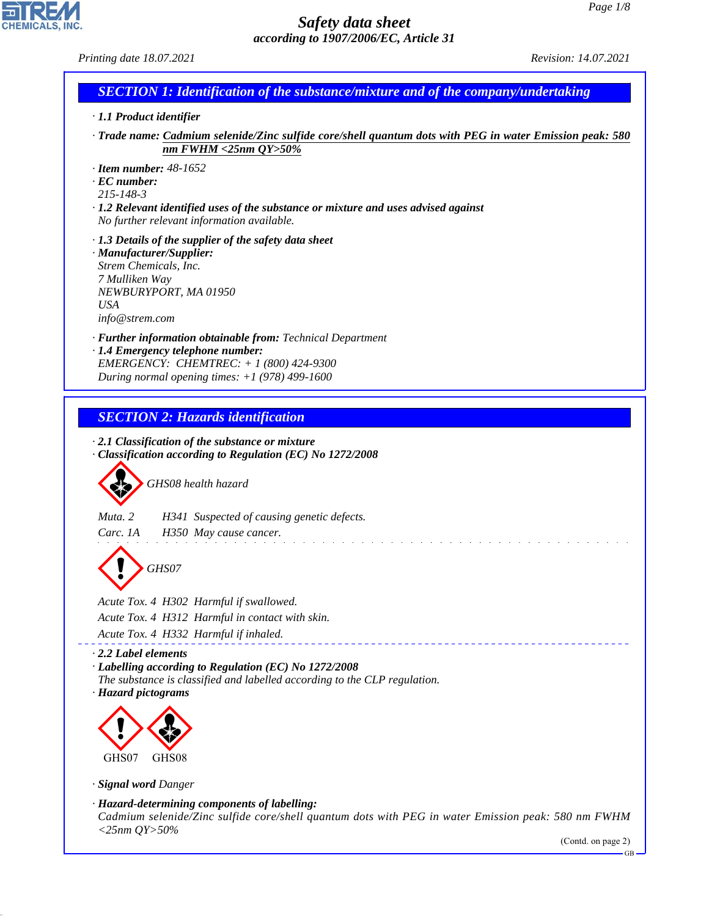CHEMICALS, INC.

44.1.1

| Printing date 18.07.2021                                                                                                                                                                                                                    | Revision: 14.07.2021         |
|---------------------------------------------------------------------------------------------------------------------------------------------------------------------------------------------------------------------------------------------|------------------------------|
| <b>SECTION 1: Identification of the substance/mixture and of the company/undertaking</b>                                                                                                                                                    |                              |
| · 1.1 Product identifier                                                                                                                                                                                                                    |                              |
| Trade name: Cadmium selenide/Zinc sulfide core/shell quantum dots with PEG in water Emission peak: 580                                                                                                                                      |                              |
| nm FWHM <25nm $QY>50\%$<br>$\cdot$ Item number: 48-1652<br>$\cdot$ EC number:<br>$215 - 148 - 3$<br>$\cdot$ 1.2 Relevant identified uses of the substance or mixture and uses advised against<br>No further relevant information available. |                              |
| $\cdot$ 1.3 Details of the supplier of the safety data sheet<br>· Manufacturer/Supplier:<br>Strem Chemicals, Inc.<br>7 Mulliken Way<br>NEWBURYPORT, MA 01950<br><b>USA</b><br>info@strem.com                                                |                              |
| · Further information obtainable from: Technical Department<br>· 1.4 Emergency telephone number:<br>EMERGENCY: CHEMTREC: + 1 (800) 424-9300<br>During normal opening times: $+1$ (978) 499-1600                                             |                              |
| <b>SECTION 2: Hazards identification</b>                                                                                                                                                                                                    |                              |
| $\cdot$ 2.1 Classification of the substance or mixture<br>Classification according to Regulation (EC) No 1272/2008<br>GHS08 health hazard                                                                                                   |                              |
| Muta. 2<br>H341 Suspected of causing genetic defects.<br>Carc. 1A<br>H350 May cause cancer.                                                                                                                                                 |                              |
| GHS07                                                                                                                                                                                                                                       |                              |
| Acute Tox. 4 H302 Harmful if swallowed.<br>Acute Tox. 4 H312 Harmful in contact with skin.<br>Acute Tox. 4 H332 Harmful if inhaled.                                                                                                         |                              |
| $\cdot$ 2.2 Label elements<br>· Labelling according to Regulation (EC) No 1272/2008<br>The substance is classified and labelled according to the CLP regulation.<br>· Hazard pictograms                                                     |                              |
|                                                                                                                                                                                                                                             |                              |
| GHS07<br>GHS08                                                                                                                                                                                                                              |                              |
| · Signal word Danger                                                                                                                                                                                                                        |                              |
| · Hazard-determining components of labelling:<br>Cadmium selenide/Zinc sulfide core/shell quantum dots with PEG in water Emission peak: 580 nm FWHM<br>$<$ 25nm QY>50%                                                                      |                              |
|                                                                                                                                                                                                                                             | (Contd. on page 2)<br>$GB -$ |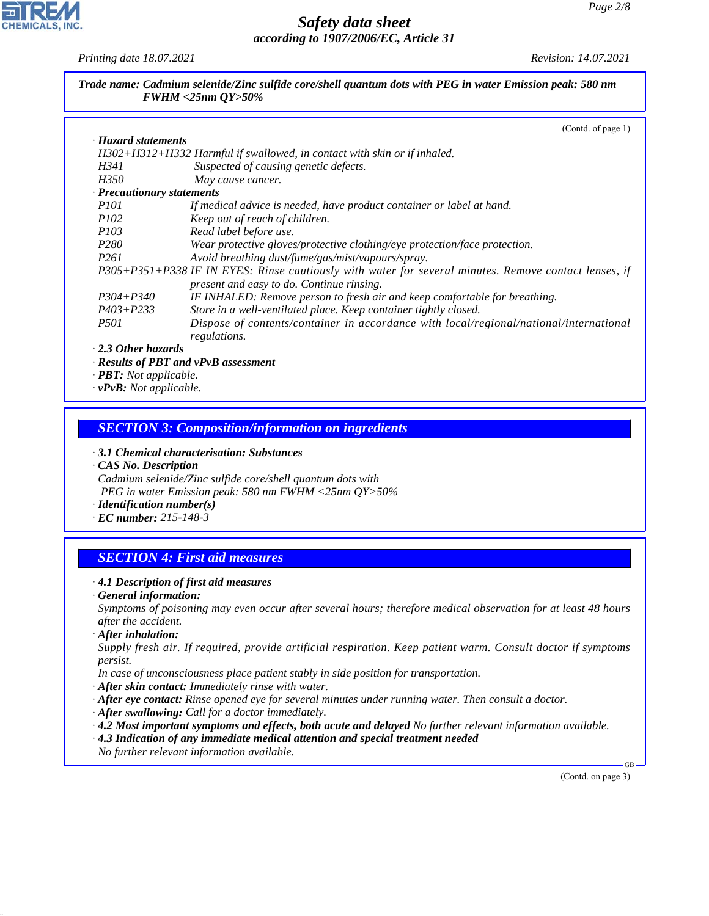*Printing date 18.07.2021 Revision: 14.07.2021*

*Trade name: Cadmium selenide/Zinc sulfide core/shell quantum dots with PEG in water Emission peak: 580 nm FWHM <25nm QY>50%*

|                                                                            | (Contd. of page 1)                                                                                    |
|----------------------------------------------------------------------------|-------------------------------------------------------------------------------------------------------|
| · Hazard statements                                                        |                                                                                                       |
|                                                                            | H302+H312+H332 Harmful if swallowed, in contact with skin or if inhaled.                              |
| H341                                                                       | Suspected of causing genetic defects.                                                                 |
| <i>H350</i>                                                                | May cause cancer.                                                                                     |
| · Precautionary statements                                                 |                                                                                                       |
| <i>P101</i>                                                                | If medical advice is needed, have product container or label at hand.                                 |
| <i>P102</i>                                                                | Keep out of reach of children.                                                                        |
| <i>P103</i>                                                                | Read label before use.                                                                                |
| P <sub>280</sub>                                                           | Wear protective gloves/protective clothing/eye protection/face protection.                            |
| <i>P261</i>                                                                | Avoid breathing dust/fume/gas/mist/vapours/spray.                                                     |
|                                                                            | P305+P351+P338 IF IN EYES: Rinse cautiously with water for several minutes. Remove contact lenses, if |
|                                                                            | present and easy to do. Continue rinsing.                                                             |
| $P304 + P340$                                                              | IF INHALED: Remove person to fresh air and keep comfortable for breathing.                            |
| $P403 + P233$                                                              | Store in a well-ventilated place. Keep container tightly closed.                                      |
| <i>P501</i>                                                                | Dispose of contents/container in accordance with local/regional/national/international                |
|                                                                            | regulations.                                                                                          |
| $\cdot$ 2.3 Other hazards                                                  |                                                                                                       |
| $\mathbf{m}\mathbf{m}$ $\mathbf{v}$ $\mathbf{v}$ $\mathbf{v}$ $\mathbf{v}$ | $\cdot$ Results of PBT and vPvB assessment                                                            |

*· PBT: Not applicable. · vPvB: Not applicable.*

*SECTION 3: Composition/information on ingredients*

*· 3.1 Chemical characterisation: Substances*

*· CAS No. Description Cadmium selenide/Zinc sulfide core/shell quantum dots with PEG in water Emission peak: 580 nm FWHM <25nm QY>50%*

*· Identification number(s)*

*· EC number: 215-148-3*

## *SECTION 4: First aid measures*

#### *· 4.1 Description of first aid measures*

*· General information:*

*Symptoms of poisoning may even occur after several hours; therefore medical observation for at least 48 hours after the accident.*

*· After inhalation:*

44.1.1

*Supply fresh air. If required, provide artificial respiration. Keep patient warm. Consult doctor if symptoms persist.*

*In case of unconsciousness place patient stably in side position for transportation.*

- *· After skin contact: Immediately rinse with water.*
- *· After eye contact: Rinse opened eye for several minutes under running water. Then consult a doctor.*
- *· After swallowing: Call for a doctor immediately.*
- *· 4.2 Most important symptoms and effects, both acute and delayed No further relevant information available.*
- *· 4.3 Indication of any immediate medical attention and special treatment needed*
- *No further relevant information available.*

(Contd. on page 3)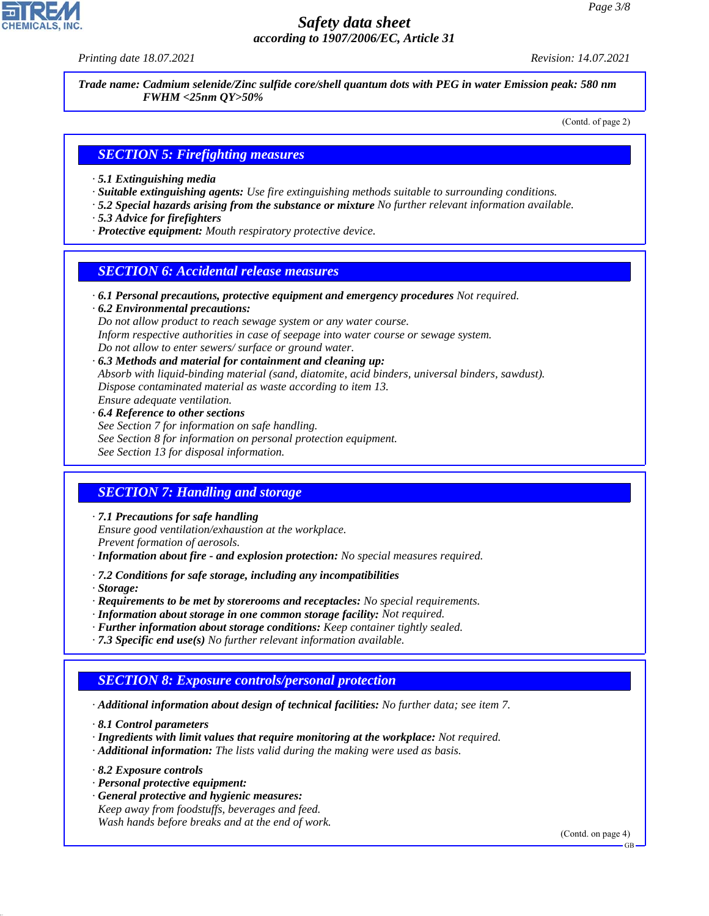*Printing date 18.07.2021 Revision: 14.07.2021*

*Trade name: Cadmium selenide/Zinc sulfide core/shell quantum dots with PEG in water Emission peak: 580 nm FWHM <25nm QY>50%*

(Contd. of page 2)

#### *SECTION 5: Firefighting measures*

- *· 5.1 Extinguishing media*
- *· Suitable extinguishing agents: Use fire extinguishing methods suitable to surrounding conditions.*
- *· 5.2 Special hazards arising from the substance or mixture No further relevant information available.*
- *· 5.3 Advice for firefighters*
- *· Protective equipment: Mouth respiratory protective device.*

#### *SECTION 6: Accidental release measures*

*· 6.1 Personal precautions, protective equipment and emergency procedures Not required.*

*· 6.2 Environmental precautions: Do not allow product to reach sewage system or any water course. Inform respective authorities in case of seepage into water course or sewage system. Do not allow to enter sewers/ surface or ground water.*

- *· 6.3 Methods and material for containment and cleaning up: Absorb with liquid-binding material (sand, diatomite, acid binders, universal binders, sawdust). Dispose contaminated material as waste according to item 13. Ensure adequate ventilation.*
- *· 6.4 Reference to other sections See Section 7 for information on safe handling. See Section 8 for information on personal protection equipment. See Section 13 for disposal information.*

## *SECTION 7: Handling and storage*

*· 7.1 Precautions for safe handling*

*Ensure good ventilation/exhaustion at the workplace.*

*Prevent formation of aerosols.*

- *· Information about fire and explosion protection: No special measures required.*
- *· 7.2 Conditions for safe storage, including any incompatibilities*

*· Storage:*

- *· Requirements to be met by storerooms and receptacles: No special requirements.*
- *· Information about storage in one common storage facility: Not required.*
- *· Further information about storage conditions: Keep container tightly sealed.*
- *· 7.3 Specific end use(s) No further relevant information available.*

# *SECTION 8: Exposure controls/personal protection*

*· Additional information about design of technical facilities: No further data; see item 7.*

*· 8.1 Control parameters*

- *· Ingredients with limit values that require monitoring at the workplace: Not required.*
- *· Additional information: The lists valid during the making were used as basis.*
- *· 8.2 Exposure controls*

44.1.1

- *· Personal protective equipment:*
- *· General protective and hygienic measures: Keep away from foodstuffs, beverages and feed. Wash hands before breaks and at the end of work.*

(Contd. on page 4)

GB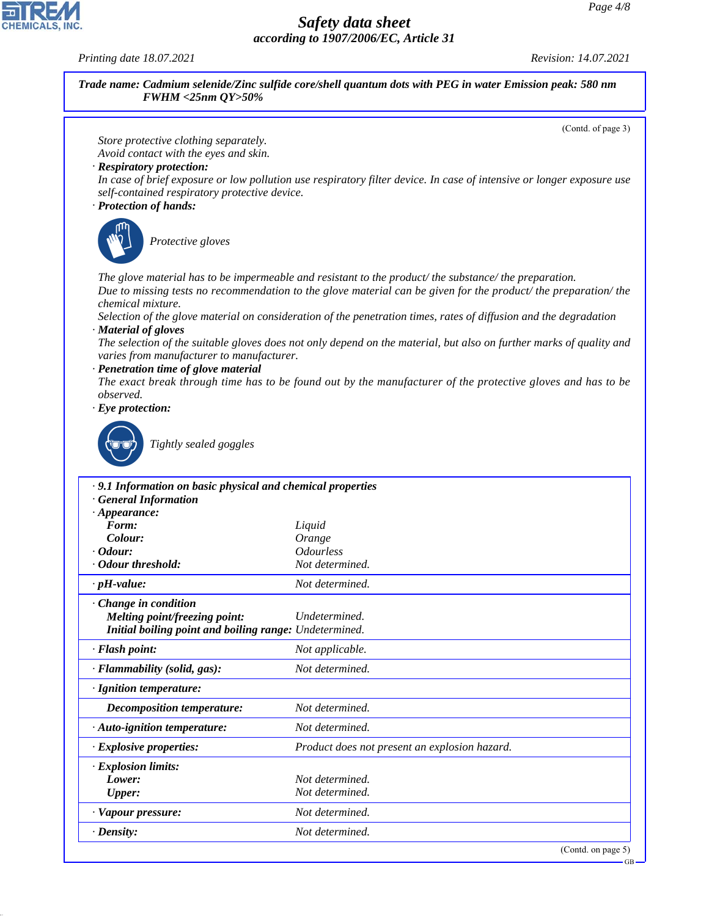*Printing date 18.07.2021 Revision: 14.07.2021*

44.1.1

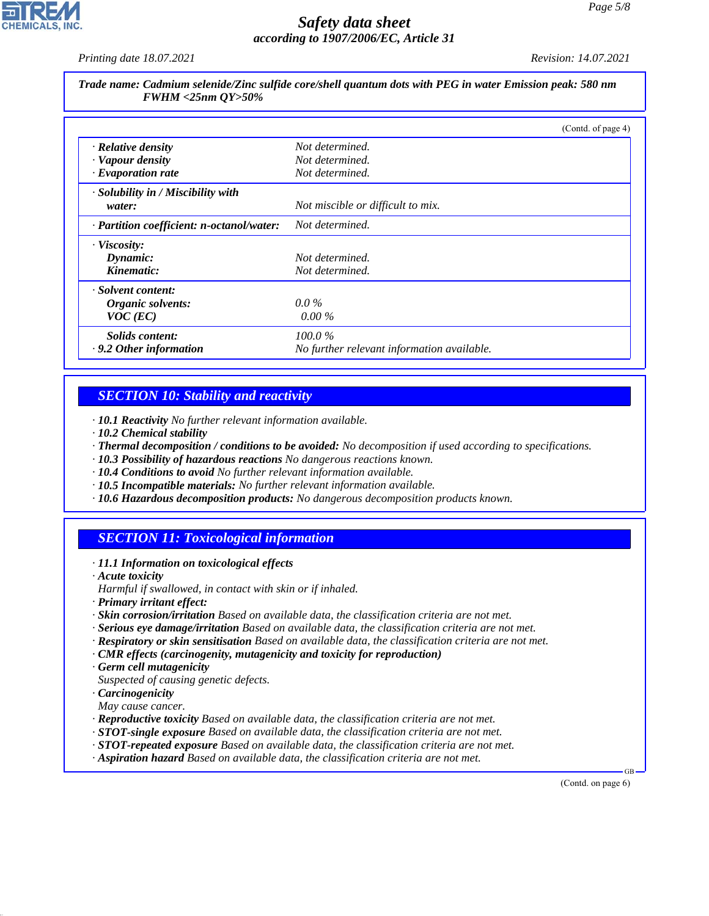*Printing date 18.07.2021 Revision: 14.07.2021*

*Trade name: Cadmium selenide/Zinc sulfide core/shell quantum dots with PEG in water Emission peak: 580 nm FWHM <25nm QY>50%*

|                                           | (Contd. of page 4)                         |
|-------------------------------------------|--------------------------------------------|
| · Relative density                        | Not determined.                            |
| · Vapour density                          | Not determined.                            |
| $\cdot$ Evaporation rate                  | Not determined.                            |
| · Solubility in / Miscibility with        |                                            |
| water:                                    | Not miscible or difficult to mix.          |
| · Partition coefficient: n-octanol/water: | Not determined.                            |
| $\cdot$ Viscosity:                        |                                            |
| Dynamic:                                  | Not determined.                            |
| Kinematic:                                | Not determined.                            |
| · Solvent content:                        |                                            |
| Organic solvents:                         | $0.0\%$                                    |
| $VOC$ (EC)                                | $0.00\%$                                   |
| Solids content:                           | $100.0\%$                                  |
| $\cdot$ 9.2 Other information             | No further relevant information available. |

# *SECTION 10: Stability and reactivity*

*· 10.1 Reactivity No further relevant information available.*

- *· 10.2 Chemical stability*
- *· Thermal decomposition / conditions to be avoided: No decomposition if used according to specifications.*
- *· 10.3 Possibility of hazardous reactions No dangerous reactions known.*
- *· 10.4 Conditions to avoid No further relevant information available.*
- *· 10.5 Incompatible materials: No further relevant information available.*
- *· 10.6 Hazardous decomposition products: No dangerous decomposition products known.*

## *SECTION 11: Toxicological information*

- *· 11.1 Information on toxicological effects*
- *· Acute toxicity*
- *Harmful if swallowed, in contact with skin or if inhaled.*
- *· Primary irritant effect:*
- *· Skin corrosion/irritation Based on available data, the classification criteria are not met.*
- *· Serious eye damage/irritation Based on available data, the classification criteria are not met.*
- *· Respiratory or skin sensitisation Based on available data, the classification criteria are not met.*
- *· CMR effects (carcinogenity, mutagenicity and toxicity for reproduction)*
- *· Germ cell mutagenicity*
- *Suspected of causing genetic defects.*
- *· Carcinogenicity*
- *May cause cancer.*

44.1.1

- *· Reproductive toxicity Based on available data, the classification criteria are not met.*
- *· STOT-single exposure Based on available data, the classification criteria are not met.*
- *· STOT-repeated exposure Based on available data, the classification criteria are not met.*
- *· Aspiration hazard Based on available data, the classification criteria are not met.*

(Contd. on page 6)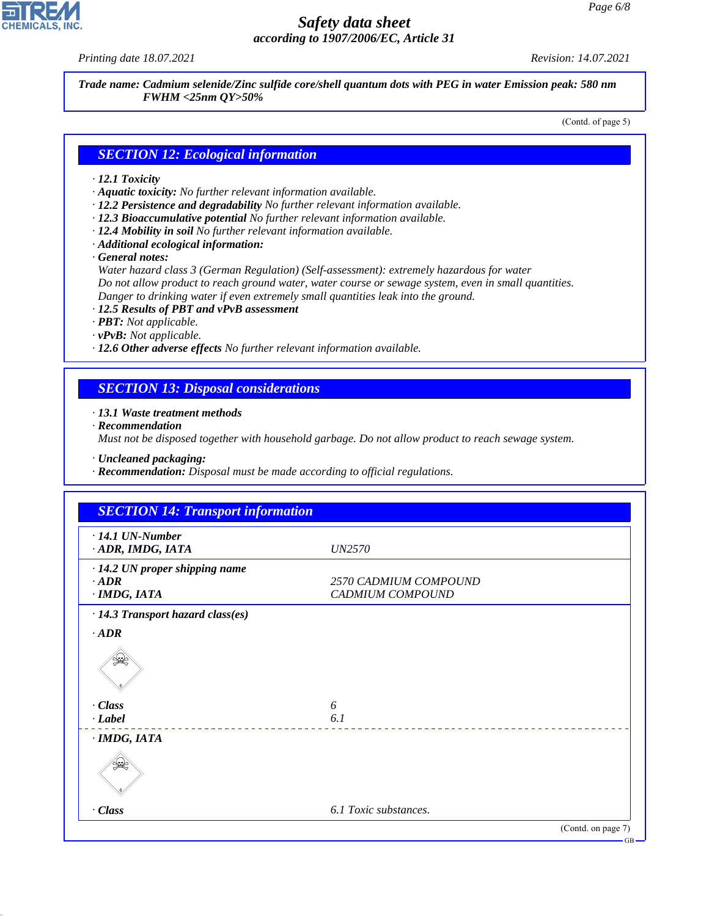# **CHEMICALS, INC**

44.1.1

### *Safety data sheet according to 1907/2006/EC, Article 31*

*Printing date 18.07.2021 Revision: 14.07.2021*

*Trade name: Cadmium selenide/Zinc sulfide core/shell quantum dots with PEG in water Emission peak: 580 nm FWHM <25nm QY>50%*

(Contd. of page 5)

#### *SECTION 12: Ecological information*

#### *· 12.1 Toxicity*

- *· Aquatic toxicity: No further relevant information available.*
- *· 12.2 Persistence and degradability No further relevant information available.*
- *· 12.3 Bioaccumulative potential No further relevant information available.*
- *· 12.4 Mobility in soil No further relevant information available.*
- *· Additional ecological information:*

*· General notes:*

*Water hazard class 3 (German Regulation) (Self-assessment): extremely hazardous for water Do not allow product to reach ground water, water course or sewage system, even in small quantities. Danger to drinking water if even extremely small quantities leak into the ground.*

*· 12.5 Results of PBT and vPvB assessment*

- *· PBT: Not applicable.*
- *· vPvB: Not applicable.*
- *· 12.6 Other adverse effects No further relevant information available.*

#### *SECTION 13: Disposal considerations*

#### *· 13.1 Waste treatment methods*

*· Recommendation*

*Must not be disposed together with household garbage. Do not allow product to reach sewage system.*

*· Uncleaned packaging:*

*· Recommendation: Disposal must be made according to official regulations.*

| <b>SECTION 14: Transport information</b>                            |                                           |
|---------------------------------------------------------------------|-------------------------------------------|
| $\cdot$ 14.1 UN-Number<br>· ADR, IMDG, IATA                         | <i>UN2570</i>                             |
| · 14.2 UN proper shipping name<br>$\cdot$ ADR<br>$\cdot$ IMDG, IATA | 2570 CADMIUM COMPOUND<br>CADMIUM COMPOUND |
| · 14.3 Transport hazard class(es)                                   |                                           |
| $\cdot$ ADR                                                         |                                           |
| يجعلي                                                               |                                           |
| · Class                                                             | 6                                         |
| $\cdot$ Label                                                       | 6.1                                       |
| $·$ <i>IMDG, IATA</i>                                               |                                           |
| $\gg$                                                               |                                           |
| $\cdot Class$                                                       | 6.1 Toxic substances.                     |
|                                                                     | (Contd. on page 7)<br>CD                  |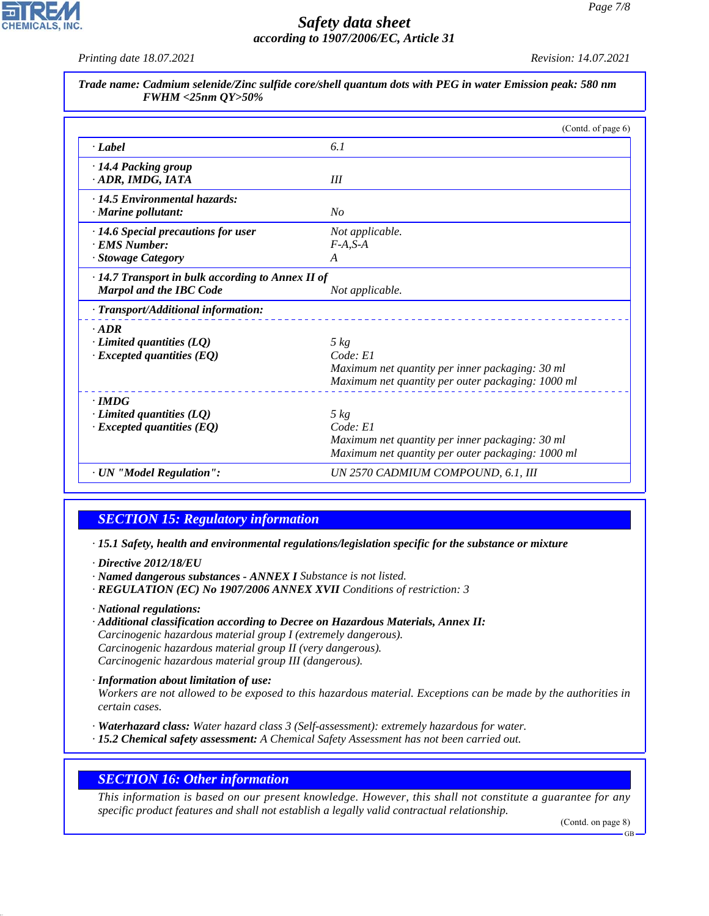# **CHEMICALS, INC**

# *Safety data sheet according to 1907/2006/EC, Article 31*

*Printing date 18.07.2021 Revision: 14.07.2021*

|                                                                                           | (Contd. of page 6)                                |
|-------------------------------------------------------------------------------------------|---------------------------------------------------|
| $\cdot$ <i>Label</i>                                                                      | 6.1                                               |
| · 14.4 Packing group<br>· ADR, IMDG, IATA                                                 | III                                               |
| · 14.5 Environmental hazards:<br>$\cdot$ Marine pollutant:                                | No                                                |
| $\cdot$ 14.6 Special precautions for user                                                 | Not applicable.                                   |
| · EMS Number:                                                                             | $F-A, S-A$                                        |
| · Stowage Category                                                                        | A                                                 |
| $\cdot$ 14.7 Transport in bulk according to Annex II of<br><b>Marpol and the IBC Code</b> | Not applicable.                                   |
| · Transport/Additional information:                                                       |                                                   |
| $-ADR$                                                                                    |                                                   |
| $\cdot$ Limited quantities (LQ)                                                           | $5 \ kg$                                          |
| $\cdot$ Excepted quantities (EQ)                                                          | Code: El                                          |
|                                                                                           | Maximum net quantity per inner packaging: 30 ml   |
|                                                                                           | Maximum net quantity per outer packaging: 1000 ml |
| $\cdot$ IMDG                                                                              |                                                   |
| $\cdot$ Limited quantities (LQ)                                                           | $5 \ kg$                                          |
| $\cdot$ Excepted quantities (EQ)                                                          | Code: E1                                          |
|                                                                                           | Maximum net quantity per inner packaging: 30 ml   |
|                                                                                           | Maximum net quantity per outer packaging: 1000 ml |
| · UN "Model Regulation":                                                                  | UN 2570 CADMIUM COMPOUND, 6.1, III                |

## *SECTION 15: Regulatory information*

*· 15.1 Safety, health and environmental regulations/legislation specific for the substance or mixture*

*· Directive 2012/18/EU*

- *· Named dangerous substances ANNEX I Substance is not listed.*
- *· REGULATION (EC) No 1907/2006 ANNEX XVII Conditions of restriction: 3*

*· National regulations:*

44.1.1

*· Additional classification according to Decree on Hazardous Materials, Annex II: Carcinogenic hazardous material group I (extremely dangerous). Carcinogenic hazardous material group II (very dangerous). Carcinogenic hazardous material group III (dangerous).*

*· Information about limitation of use:*

*Workers are not allowed to be exposed to this hazardous material. Exceptions can be made by the authorities in certain cases.*

- *· Waterhazard class: Water hazard class 3 (Self-assessment): extremely hazardous for water.*
- *· 15.2 Chemical safety assessment: A Chemical Safety Assessment has not been carried out.*

#### *SECTION 16: Other information*

*This information is based on our present knowledge. However, this shall not constitute a guarantee for any specific product features and shall not establish a legally valid contractual relationship.*

(Contd. on page 8)